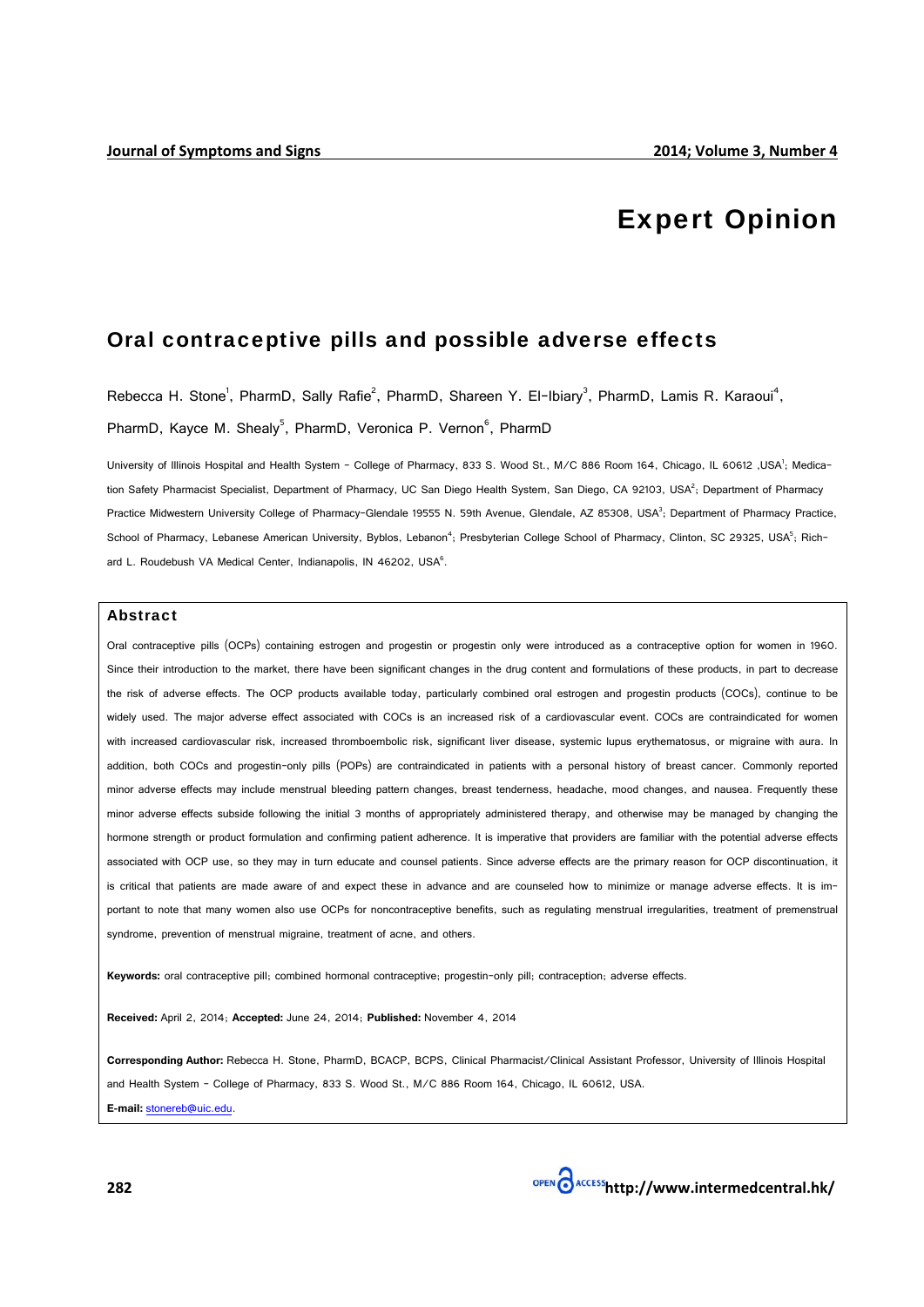# Expert Opinion

# Oral contraceptive pills and possible adverse effects

Rebecca H. Stone<sup>1</sup>, PharmD, Sally Rafie<sup>2</sup>, PharmD, Shareen Y. El-Ibiary<sup>3</sup>, PharmD, Lamis R. Karaoui<sup>4</sup>, PharmD, Kayce M. Shealy<sup>5</sup>, PharmD, Veronica P. Vernon<sup>6</sup>, PharmD

University of Illinois Hospital and Health System - College of Pharmacy, 833 S. Wood St., M/C 886 Room 164, Chicago, IL 60612 ,USA<sup>1</sup>; Medication Safety Pharmacist Specialist, Department of Pharmacy, UC San Diego Health System, San Diego, CA 92103, USA<sup>2</sup>; Department of Pharmacy Practice Midwestern University College of Pharmacy-Glendale 19555 N. 59th Avenue, Glendale, AZ 85308, USA<sup>3</sup>; Department of Pharmacy Practice, School of Pharmacy, Lebanese American University, Byblos, Lebanon<sup>4</sup>; Presbyterian College School of Pharmacy, Clinton, SC 29325, USA<sup>5</sup>; Richard L. Roudebush VA Medical Center, Indianapolis, IN 46202, USA<sup>6</sup>.

#### Abstract

Oral contraceptive pills (OCPs) containing estrogen and progestin or progestin only were introduced as a contraceptive option for women in 1960. Since their introduction to the market, there have been significant changes in the drug content and formulations of these products, in part to decrease the risk of adverse effects. The OCP products available today, particularly combined oral estrogen and progestin products (COCs), continue to be widely used. The major adverse effect associated with COCs is an increased risk of a cardiovascular event. COCs are contraindicated for women with increased cardiovascular risk, increased thromboembolic risk, significant liver disease, systemic lupus erythematosus, or migraine with aura. In addition, both COCs and progestin-only pills (POPs) are contraindicated in patients with a personal history of breast cancer. Commonly reported minor adverse effects may include menstrual bleeding pattern changes, breast tenderness, headache, mood changes, and nausea. Frequently these minor adverse effects subside following the initial 3 months of appropriately administered therapy, and otherwise may be managed by changing the hormone strength or product formulation and confirming patient adherence. It is imperative that providers are familiar with the potential adverse effects associated with OCP use, so they may in turn educate and counsel patients. Since adverse effects are the primary reason for OCP discontinuation, it is critical that patients are made aware of and expect these in advance and are counseled how to minimize or manage adverse effects. It is important to note that many women also use OCPs for noncontraceptive benefits, such as regulating menstrual irregularities, treatment of premenstrual syndrome, prevention of menstrual migraine, treatment of acne, and others.

**Keywords:** oral contraceptive pill; combined hormonal contraceptive; progestin-only pill; contraception; adverse effects.

**Received:** April 2, 2014; **Accepted:** June 24, 2014; **Published:** November 4, 2014

**Corresponding Author:** Rebecca H. Stone, PharmD, BCACP, BCPS, Clinical Pharmacist/Clinical Assistant Professor, University of Illinois Hospital and Health System - College of Pharmacy, 833 S. Wood St., M/C 886 Room 164, Chicago, IL 60612, USA. **E-mail:** stonereb@uic.edu.

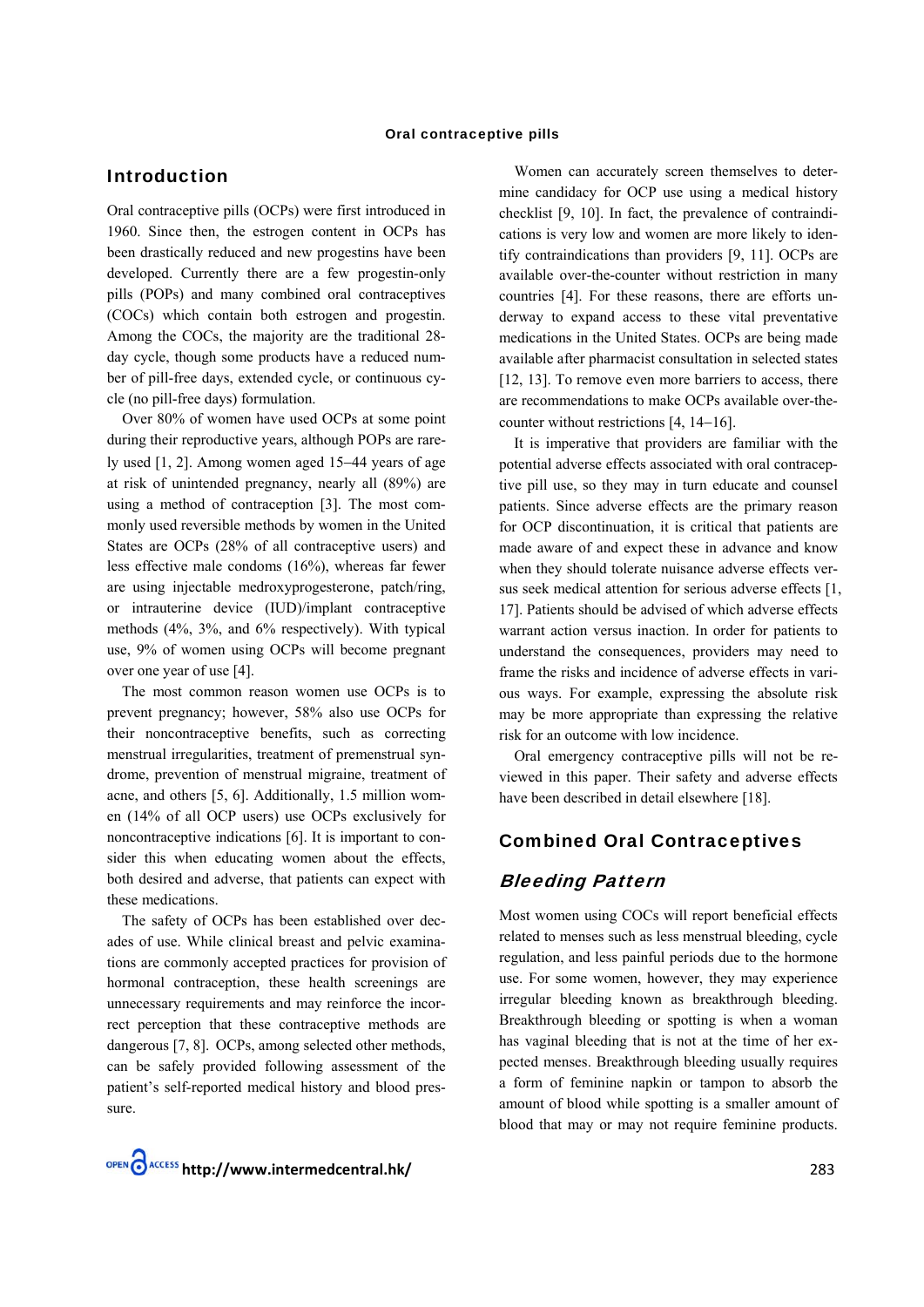### Introduction

Oral contraceptive pills (OCPs) were first introduced in 1960. Since then, the estrogen content in OCPs has been drastically reduced and new progestins have been developed. Currently there are a few progestin-only pills (POPs) and many combined oral contraceptives (COCs) which contain both estrogen and progestin. Among the COCs, the majority are the traditional 28 day cycle, though some products have a reduced number of pill-free days, extended cycle, or continuous cycle (no pill-free days) formulation.

 Over 80% of women have used OCPs at some point during their reproductive years, although POPs are rarely used [1, 2]. Among women aged 15−44 years of age at risk of unintended pregnancy, nearly all (89%) are using a method of contraception [3]. The most commonly used reversible methods by women in the United States are OCPs (28% of all contraceptive users) and less effective male condoms (16%), whereas far fewer are using injectable medroxyprogesterone, patch/ring, or intrauterine device (IUD)/implant contraceptive methods (4%, 3%, and 6% respectively). With typical use, 9% of women using OCPs will become pregnant over one year of use [4].

 The most common reason women use OCPs is to prevent pregnancy; however, 58% also use OCPs for their noncontraceptive benefits, such as correcting menstrual irregularities, treatment of premenstrual syndrome, prevention of menstrual migraine, treatment of acne, and others [5, 6]. Additionally, 1.5 million women (14% of all OCP users) use OCPs exclusively for noncontraceptive indications [6]. It is important to consider this when educating women about the effects, both desired and adverse, that patients can expect with these medications.

 The safety of OCPs has been established over decades of use. While clinical breast and pelvic examinations are commonly accepted practices for provision of hormonal contraception, these health screenings are unnecessary requirements and may reinforce the incorrect perception that these contraceptive methods are dangerous [7, 8]. OCPs, among selected other methods, can be safely provided following assessment of the patient's self-reported medical history and blood pressure.

 Women can accurately screen themselves to determine candidacy for OCP use using a medical history checklist [9, 10]. In fact, the prevalence of contraindications is very low and women are more likely to identify contraindications than providers [9, 11]. OCPs are available over-the-counter without restriction in many countries [4]. For these reasons, there are efforts underway to expand access to these vital preventative medications in the United States. OCPs are being made available after pharmacist consultation in selected states [12, 13]. To remove even more barriers to access, there are recommendations to make OCPs available over-thecounter without restrictions [4, 14−16].

 It is imperative that providers are familiar with the potential adverse effects associated with oral contraceptive pill use, so they may in turn educate and counsel patients. Since adverse effects are the primary reason for OCP discontinuation, it is critical that patients are made aware of and expect these in advance and know when they should tolerate nuisance adverse effects versus seek medical attention for serious adverse effects [1, 17]. Patients should be advised of which adverse effects warrant action versus inaction. In order for patients to understand the consequences, providers may need to frame the risks and incidence of adverse effects in various ways. For example, expressing the absolute risk may be more appropriate than expressing the relative risk for an outcome with low incidence.

 Oral emergency contraceptive pills will not be reviewed in this paper. Their safety and adverse effects have been described in detail elsewhere [18].

## Combined Oral Contraceptives

### Bleeding Pattern

Most women using COCs will report beneficial effects related to menses such as less menstrual bleeding, cycle regulation, and less painful periods due to the hormone use. For some women, however, they may experience irregular bleeding known as breakthrough bleeding. Breakthrough bleeding or spotting is when a woman has vaginal bleeding that is not at the time of her expected menses. Breakthrough bleeding usually requires a form of feminine napkin or tampon to absorb the amount of blood while spotting is a smaller amount of blood that may or may not require feminine products.

**OPEN** CACCESS http://www.intermedcentral.hk/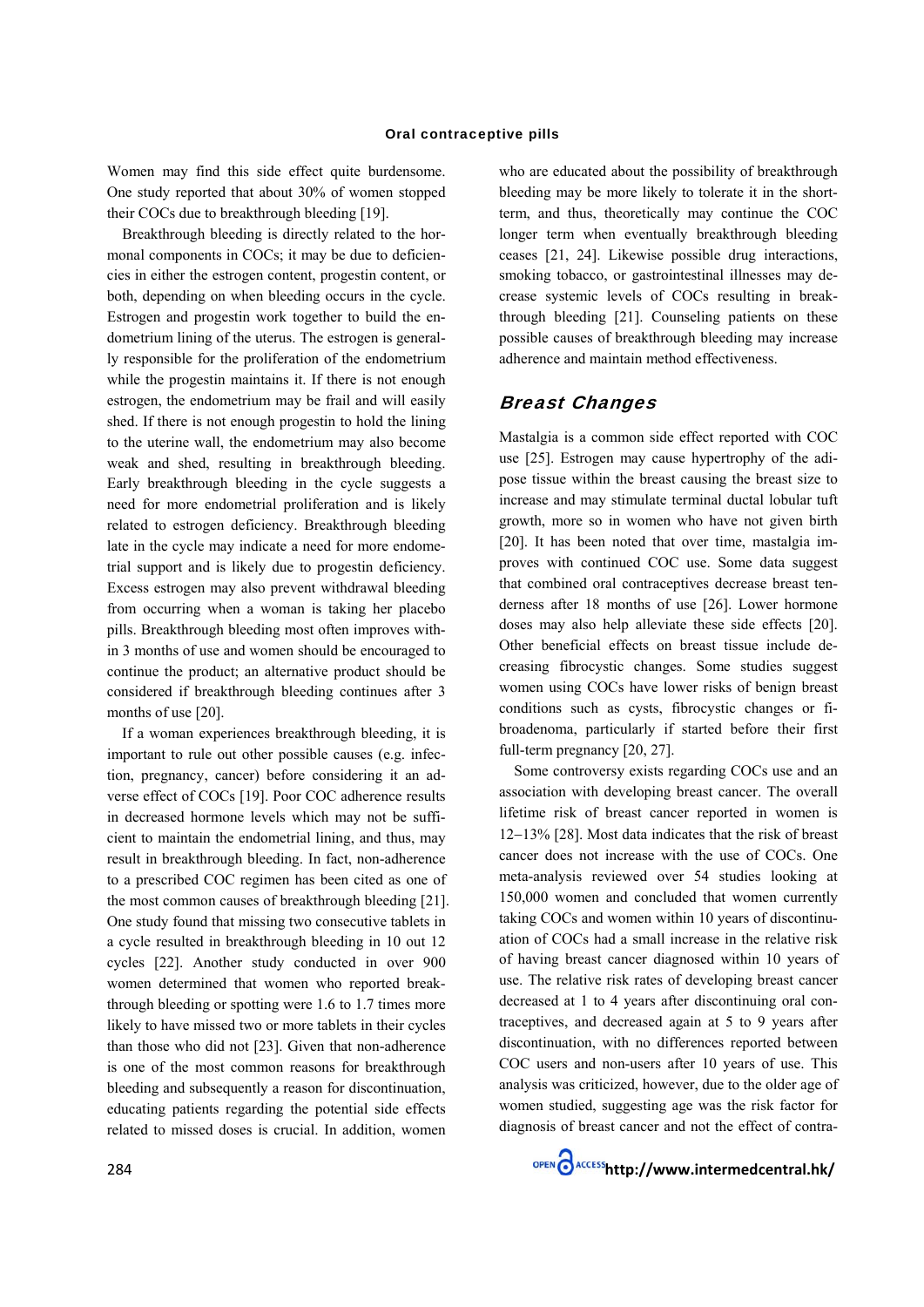Women may find this side effect quite burdensome. One study reported that about 30% of women stopped their COCs due to breakthrough bleeding [19].

 Breakthrough bleeding is directly related to the hormonal components in COCs; it may be due to deficiencies in either the estrogen content, progestin content, or both, depending on when bleeding occurs in the cycle. Estrogen and progestin work together to build the endometrium lining of the uterus. The estrogen is generally responsible for the proliferation of the endometrium while the progestin maintains it. If there is not enough estrogen, the endometrium may be frail and will easily shed. If there is not enough progestin to hold the lining to the uterine wall, the endometrium may also become weak and shed, resulting in breakthrough bleeding. Early breakthrough bleeding in the cycle suggests a need for more endometrial proliferation and is likely related to estrogen deficiency. Breakthrough bleeding late in the cycle may indicate a need for more endometrial support and is likely due to progestin deficiency. Excess estrogen may also prevent withdrawal bleeding from occurring when a woman is taking her placebo pills. Breakthrough bleeding most often improves within 3 months of use and women should be encouraged to continue the product; an alternative product should be considered if breakthrough bleeding continues after 3 months of use [20].

 If a woman experiences breakthrough bleeding, it is important to rule out other possible causes (e.g. infection, pregnancy, cancer) before considering it an adverse effect of COCs [19]. Poor COC adherence results in decreased hormone levels which may not be sufficient to maintain the endometrial lining, and thus, may result in breakthrough bleeding. In fact, non-adherence to a prescribed COC regimen has been cited as one of the most common causes of breakthrough bleeding [21]. One study found that missing two consecutive tablets in a cycle resulted in breakthrough bleeding in 10 out 12 cycles [22]. Another study conducted in over 900 women determined that women who reported breakthrough bleeding or spotting were 1.6 to 1.7 times more likely to have missed two or more tablets in their cycles than those who did not [23]. Given that non-adherence is one of the most common reasons for breakthrough bleeding and subsequently a reason for discontinuation, educating patients regarding the potential side effects related to missed doses is crucial. In addition, women

who are educated about the possibility of breakthrough bleeding may be more likely to tolerate it in the shortterm, and thus, theoretically may continue the COC longer term when eventually breakthrough bleeding ceases [21, 24]. Likewise possible drug interactions, smoking tobacco, or gastrointestinal illnesses may decrease systemic levels of COCs resulting in breakthrough bleeding [21]. Counseling patients on these possible causes of breakthrough bleeding may increase adherence and maintain method effectiveness.

### Breast Changes

Mastalgia is a common side effect reported with COC use [25]. Estrogen may cause hypertrophy of the adipose tissue within the breast causing the breast size to increase and may stimulate terminal ductal lobular tuft growth, more so in women who have not given birth [20]. It has been noted that over time, mastalgia improves with continued COC use. Some data suggest that combined oral contraceptives decrease breast tenderness after 18 months of use [26]. Lower hormone doses may also help alleviate these side effects [20]. Other beneficial effects on breast tissue include decreasing fibrocystic changes. Some studies suggest women using COCs have lower risks of benign breast conditions such as cysts, fibrocystic changes or fibroadenoma, particularly if started before their first full-term pregnancy [20, 27].

 Some controversy exists regarding COCs use and an association with developing breast cancer. The overall lifetime risk of breast cancer reported in women is 12−13% [28]. Most data indicates that the risk of breast cancer does not increase with the use of COCs. One meta-analysis reviewed over 54 studies looking at 150,000 women and concluded that women currently taking COCs and women within 10 years of discontinuation of COCs had a small increase in the relative risk of having breast cancer diagnosed within 10 years of use. The relative risk rates of developing breast cancer decreased at 1 to 4 years after discontinuing oral contraceptives, and decreased again at 5 to 9 years after discontinuation, with no differences reported between COC users and non-users after 10 years of use. This analysis was criticized, however, due to the older age of women studied, suggesting age was the risk factor for diagnosis of breast cancer and not the effect of contra-

284 **http://www.intermedcentral.hk/**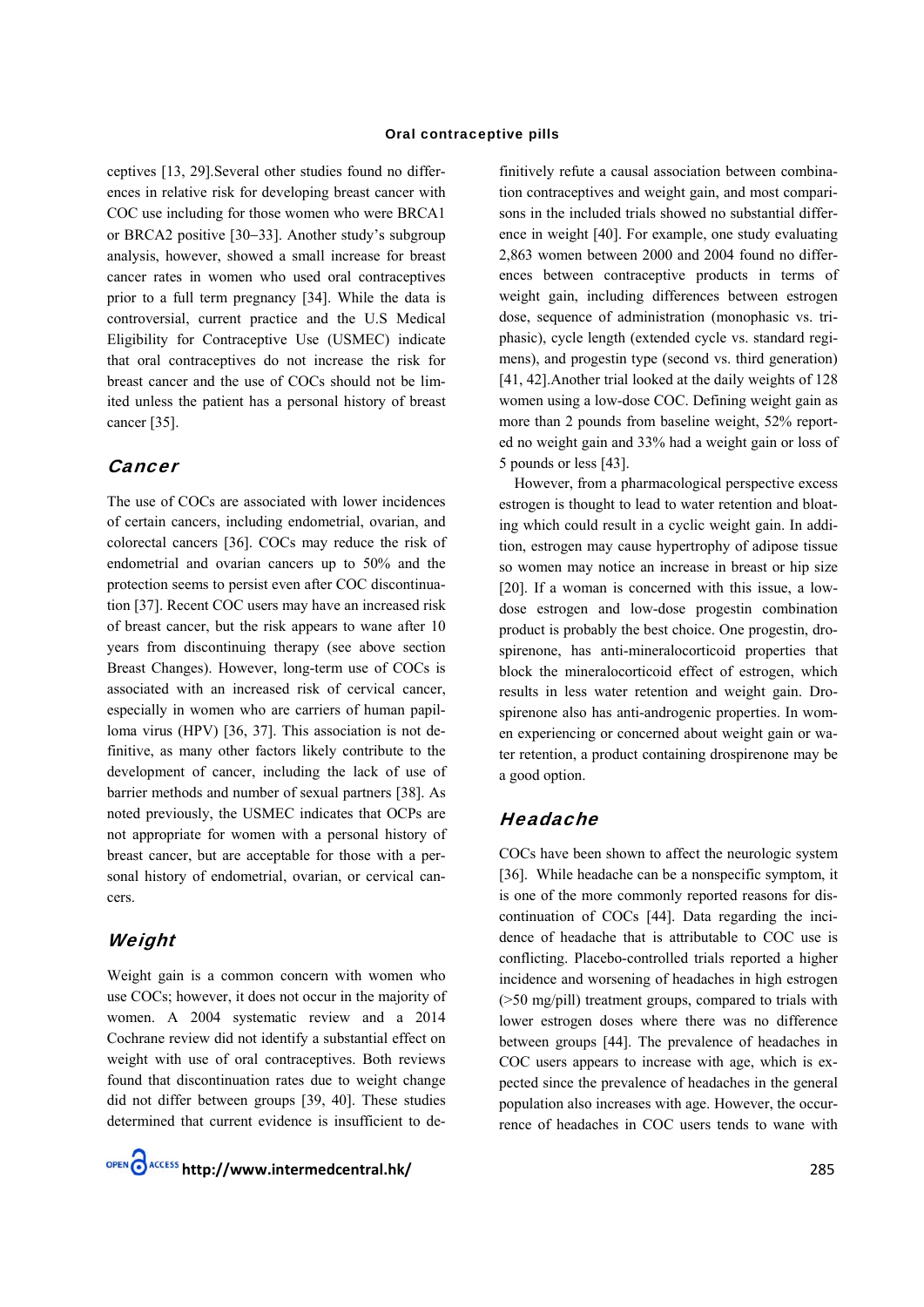ceptives [13, 29].Several other studies found no differences in relative risk for developing breast cancer with COC use including for those women who were BRCA1 or BRCA2 positive [30−33]. Another study's subgroup analysis, however, showed a small increase for breast cancer rates in women who used oral contraceptives prior to a full term pregnancy [34]. While the data is controversial, current practice and the U.S Medical Eligibility for Contraceptive Use (USMEC) indicate that oral contraceptives do not increase the risk for breast cancer and the use of COCs should not be limited unless the patient has a personal history of breast cancer [35].

## **Cancer**

The use of COCs are associated with lower incidences of certain cancers, including endometrial, ovarian, and colorectal cancers [36]. COCs may reduce the risk of endometrial and ovarian cancers up to 50% and the protection seems to persist even after COC discontinuation [37]. Recent COC users may have an increased risk of breast cancer, but the risk appears to wane after 10 years from discontinuing therapy (see above section Breast Changes). However, long-term use of COCs is associated with an increased risk of cervical cancer, especially in women who are carriers of human papilloma virus (HPV) [36, 37]. This association is not definitive, as many other factors likely contribute to the development of cancer, including the lack of use of barrier methods and number of sexual partners [38]. As noted previously, the USMEC indicates that OCPs are not appropriate for women with a personal history of breast cancer, but are acceptable for those with a personal history of endometrial, ovarian, or cervical cancers.

### Weight

Weight gain is a common concern with women who use COCs; however, it does not occur in the majority of women. A 2004 systematic review and a 2014 Cochrane review did not identify a substantial effect on weight with use of oral contraceptives. Both reviews found that discontinuation rates due to weight change did not differ between groups [39, 40]. These studies determined that current evidence is insufficient to de-



finitively refute a causal association between combination contraceptives and weight gain, and most comparisons in the included trials showed no substantial difference in weight [40]. For example, one study evaluating 2,863 women between 2000 and 2004 found no differences between contraceptive products in terms of weight gain, including differences between estrogen dose, sequence of administration (monophasic vs. triphasic), cycle length (extended cycle vs. standard regimens), and progestin type (second vs. third generation) [41, 42].Another trial looked at the daily weights of 128 women using a low-dose COC. Defining weight gain as more than 2 pounds from baseline weight, 52% reported no weight gain and 33% had a weight gain or loss of 5 pounds or less [43].

 However, from a pharmacological perspective excess estrogen is thought to lead to water retention and bloating which could result in a cyclic weight gain. In addition, estrogen may cause hypertrophy of adipose tissue so women may notice an increase in breast or hip size [20]. If a woman is concerned with this issue, a lowdose estrogen and low-dose progestin combination product is probably the best choice. One progestin, drospirenone, has anti-mineralocorticoid properties that block the mineralocorticoid effect of estrogen, which results in less water retention and weight gain. Drospirenone also has anti-androgenic properties. In women experiencing or concerned about weight gain or water retention, a product containing drospirenone may be a good option.

### Headache

COCs have been shown to affect the neurologic system [36]. While headache can be a nonspecific symptom, it is one of the more commonly reported reasons for discontinuation of COCs [44]. Data regarding the incidence of headache that is attributable to COC use is conflicting. Placebo-controlled trials reported a higher incidence and worsening of headaches in high estrogen (>50 mg/pill) treatment groups, compared to trials with lower estrogen doses where there was no difference between groups [44]. The prevalence of headaches in COC users appears to increase with age, which is expected since the prevalence of headaches in the general population also increases with age. However, the occurrence of headaches in COC users tends to wane with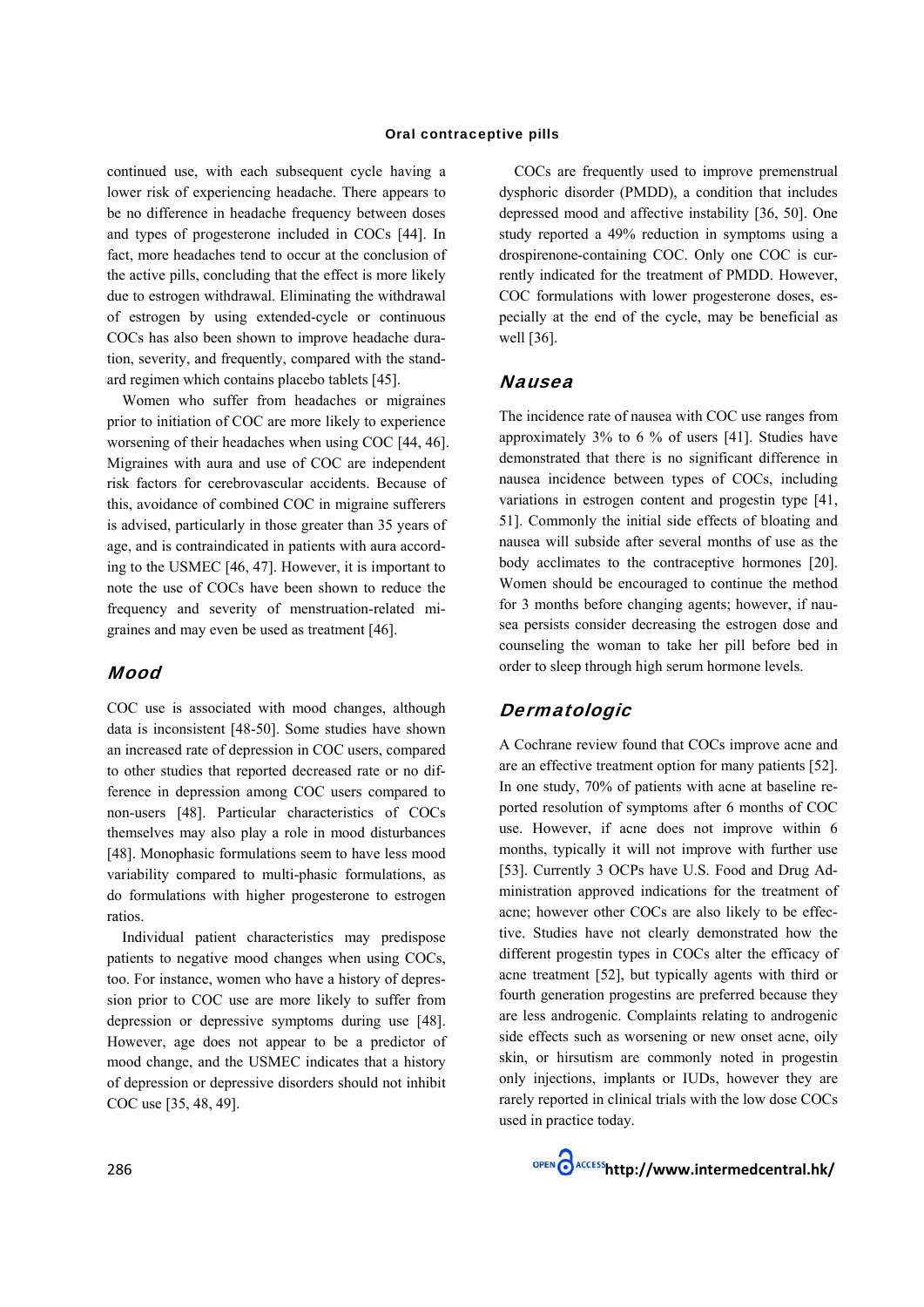continued use, with each subsequent cycle having a lower risk of experiencing headache. There appears to be no difference in headache frequency between doses and types of progesterone included in COCs [44]. In fact, more headaches tend to occur at the conclusion of the active pills, concluding that the effect is more likely due to estrogen withdrawal. Eliminating the withdrawal of estrogen by using extended-cycle or continuous COCs has also been shown to improve headache duration, severity, and frequently, compared with the standard regimen which contains placebo tablets [45].

 Women who suffer from headaches or migraines prior to initiation of COC are more likely to experience worsening of their headaches when using COC [44, 46]. Migraines with aura and use of COC are independent risk factors for cerebrovascular accidents. Because of this, avoidance of combined COC in migraine sufferers is advised, particularly in those greater than 35 years of age, and is contraindicated in patients with aura according to the USMEC [46, 47]. However, it is important to note the use of COCs have been shown to reduce the frequency and severity of menstruation-related migraines and may even be used as treatment [46].

#### Mood

COC use is associated with mood changes, although data is inconsistent [48-50]. Some studies have shown an increased rate of depression in COC users, compared to other studies that reported decreased rate or no difference in depression among COC users compared to non-users [48]. Particular characteristics of COCs themselves may also play a role in mood disturbances [48]. Monophasic formulations seem to have less mood variability compared to multi-phasic formulations, as do formulations with higher progesterone to estrogen ratios.

 Individual patient characteristics may predispose patients to negative mood changes when using COCs, too. For instance, women who have a history of depression prior to COC use are more likely to suffer from depression or depressive symptoms during use [48]. However, age does not appear to be a predictor of mood change, and the USMEC indicates that a history of depression or depressive disorders should not inhibit COC use [35, 48, 49].

 COCs are frequently used to improve premenstrual dysphoric disorder (PMDD), a condition that includes depressed mood and affective instability [36, 50]. One study reported a 49% reduction in symptoms using a drospirenone-containing COC. Only one COC is currently indicated for the treatment of PMDD. However, COC formulations with lower progesterone doses, especially at the end of the cycle, may be beneficial as well [36].

### **Nausea**

The incidence rate of nausea with COC use ranges from approximately 3% to 6 % of users [41]. Studies have demonstrated that there is no significant difference in nausea incidence between types of COCs, including variations in estrogen content and progestin type [41, 51]. Commonly the initial side effects of bloating and nausea will subside after several months of use as the body acclimates to the contraceptive hormones [20]. Women should be encouraged to continue the method for 3 months before changing agents; however, if nausea persists consider decreasing the estrogen dose and counseling the woman to take her pill before bed in order to sleep through high serum hormone levels.

# Dermatologic

A Cochrane review found that COCs improve acne and are an effective treatment option for many patients [52]. In one study, 70% of patients with acne at baseline reported resolution of symptoms after 6 months of COC use. However, if acne does not improve within 6 months, typically it will not improve with further use [53]. Currently 3 OCPs have U.S. Food and Drug Administration approved indications for the treatment of acne; however other COCs are also likely to be effective. Studies have not clearly demonstrated how the different progestin types in COCs alter the efficacy of acne treatment [52], but typically agents with third or fourth generation progestins are preferred because they are less androgenic. Complaints relating to androgenic side effects such as worsening or new onset acne, oily skin, or hirsutism are commonly noted in progestin only injections, implants or IUDs, however they are rarely reported in clinical trials with the low dose COCs used in practice today.

286 **http://www.intermedcentral.hk/**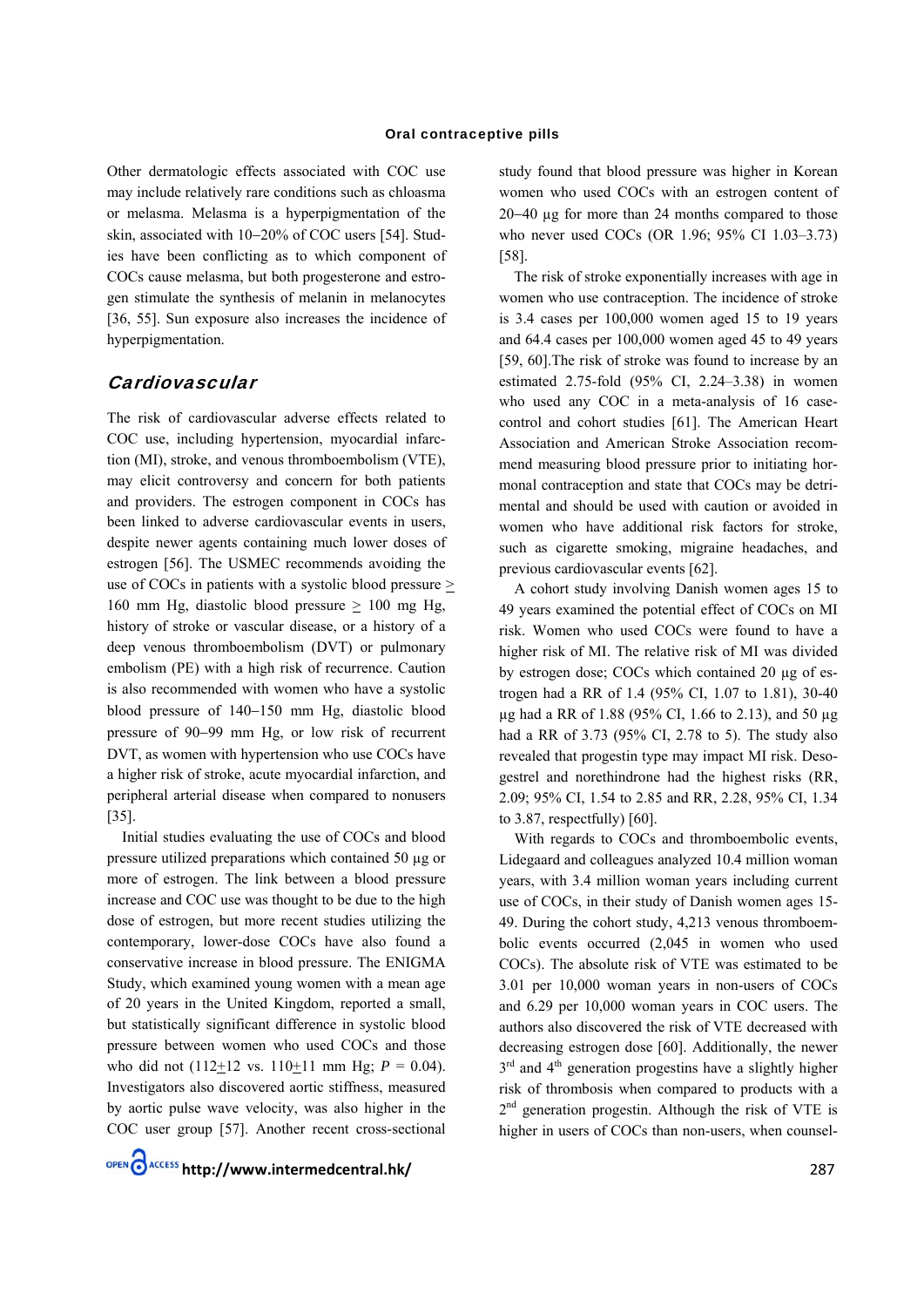Other dermatologic effects associated with COC use may include relatively rare conditions such as chloasma or melasma. Melasma is a hyperpigmentation of the skin, associated with 10−20% of COC users [54]. Studies have been conflicting as to which component of COCs cause melasma, but both progesterone and estrogen stimulate the synthesis of melanin in melanocytes [36, 55]. Sun exposure also increases the incidence of hyperpigmentation.

#### Cardiovascular

The risk of cardiovascular adverse effects related to COC use, including hypertension, myocardial infarction (MI), stroke, and venous thromboembolism (VTE), may elicit controversy and concern for both patients and providers. The estrogen component in COCs has been linked to adverse cardiovascular events in users, despite newer agents containing much lower doses of estrogen [56]. The USMEC recommends avoiding the use of COCs in patients with a systolic blood pressure  $\geq$ 160 mm Hg, diastolic blood pressure  $> 100$  mg Hg, history of stroke or vascular disease, or a history of a deep venous thromboembolism (DVT) or pulmonary embolism (PE) with a high risk of recurrence. Caution is also recommended with women who have a systolic blood pressure of 140−150 mm Hg, diastolic blood pressure of 90−99 mm Hg, or low risk of recurrent DVT, as women with hypertension who use COCs have a higher risk of stroke, acute myocardial infarction, and peripheral arterial disease when compared to nonusers [35].

 Initial studies evaluating the use of COCs and blood pressure utilized preparations which contained 50 µg or more of estrogen. The link between a blood pressure increase and COC use was thought to be due to the high dose of estrogen, but more recent studies utilizing the contemporary, lower-dose COCs have also found a conservative increase in blood pressure. The ENIGMA Study, which examined young women with a mean age of 20 years in the United Kingdom, reported a small, but statistically significant difference in systolic blood pressure between women who used COCs and those who did not  $(112+12 \text{ vs. } 110+11 \text{ mm Hg}; P = 0.04)$ . Investigators also discovered aortic stiffness, measured by aortic pulse wave velocity, was also higher in the COC user group [57]. Another recent cross-sectional

**OPEN** CACCESS http://www.intermedcentral.hk/

study found that blood pressure was higher in Korean women who used COCs with an estrogen content of 20−40 µg for more than 24 months compared to those who never used COCs (OR 1.96; 95% CI 1.03–3.73) [58].

 The risk of stroke exponentially increases with age in women who use contraception. The incidence of stroke is 3.4 cases per 100,000 women aged 15 to 19 years and 64.4 cases per 100,000 women aged 45 to 49 years [59, 60].The risk of stroke was found to increase by an estimated 2.75-fold (95% CI, 2.24–3.38) in women who used any COC in a meta-analysis of 16 casecontrol and cohort studies [61]. The American Heart Association and American Stroke Association recommend measuring blood pressure prior to initiating hormonal contraception and state that COCs may be detrimental and should be used with caution or avoided in women who have additional risk factors for stroke, such as cigarette smoking, migraine headaches, and previous cardiovascular events [62].

 A cohort study involving Danish women ages 15 to 49 years examined the potential effect of COCs on MI risk. Women who used COCs were found to have a higher risk of MI. The relative risk of MI was divided by estrogen dose; COCs which contained 20 µg of estrogen had a RR of 1.4 (95% CI, 1.07 to 1.81), 30-40 µg had a RR of 1.88 (95% CI, 1.66 to 2.13), and 50 µg had a RR of 3.73 (95% CI, 2.78 to 5). The study also revealed that progestin type may impact MI risk. Desogestrel and norethindrone had the highest risks (RR, 2.09; 95% CI, 1.54 to 2.85 and RR, 2.28, 95% CI, 1.34 to 3.87, respectfully)  $[60]$ .

 With regards to COCs and thromboembolic events, Lidegaard and colleagues analyzed 10.4 million woman years, with 3.4 million woman years including current use of COCs, in their study of Danish women ages 15- 49. During the cohort study, 4,213 venous thromboembolic events occurred (2,045 in women who used COCs). The absolute risk of VTE was estimated to be 3.01 per 10,000 woman years in non-users of COCs and 6.29 per 10,000 woman years in COC users. The authors also discovered the risk of VTE decreased with decreasing estrogen dose [60]. Additionally, the newer  $3<sup>rd</sup>$  and  $4<sup>th</sup>$  generation progestins have a slightly higher risk of thrombosis when compared to products with a  $2<sup>nd</sup>$  generation progestin. Although the risk of VTE is higher in users of COCs than non-users, when counsel-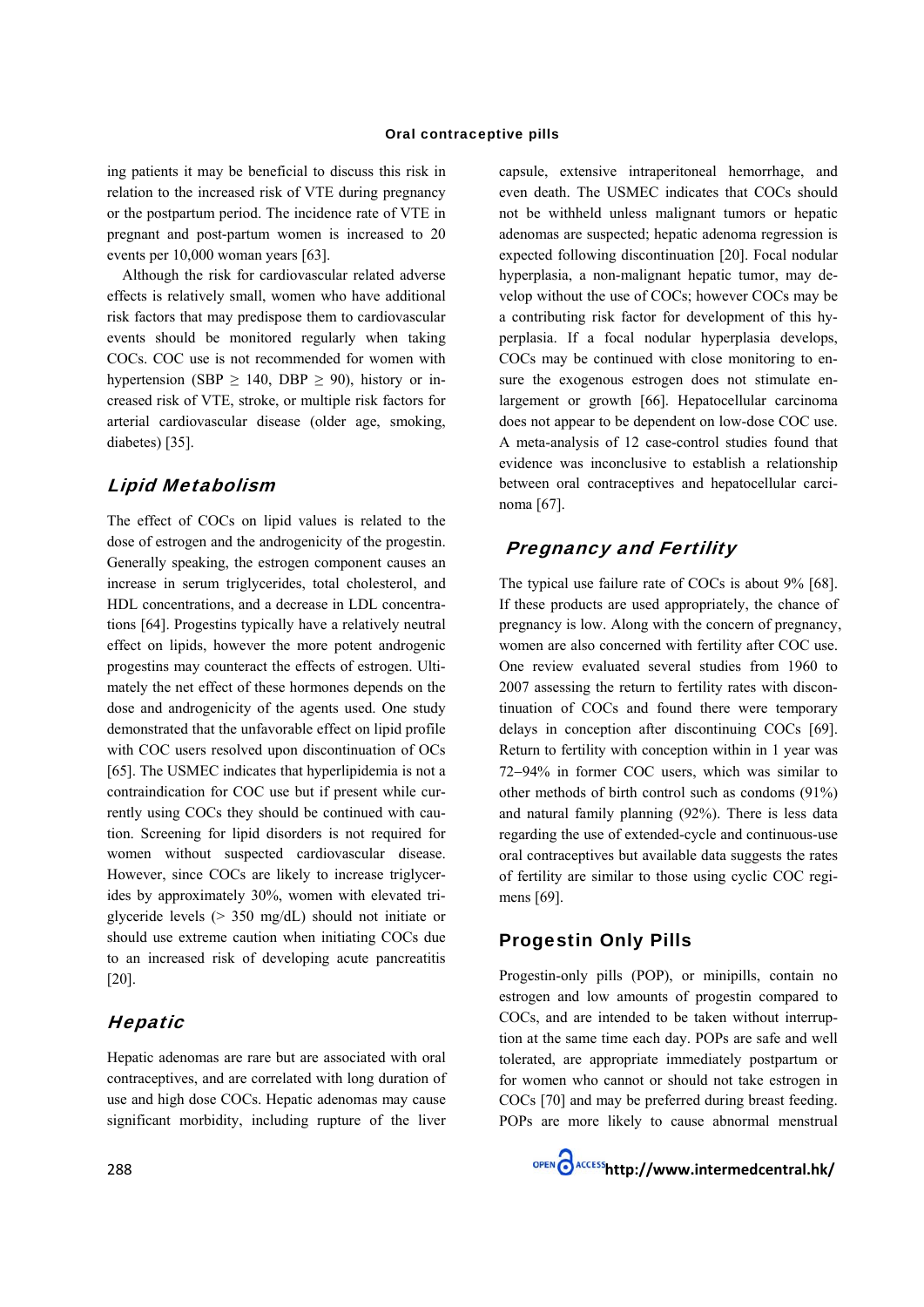ing patients it may be beneficial to discuss this risk in relation to the increased risk of VTE during pregnancy or the postpartum period. The incidence rate of VTE in pregnant and post-partum women is increased to 20 events per 10,000 woman years [63].

 Although the risk for cardiovascular related adverse effects is relatively small, women who have additional risk factors that may predispose them to cardiovascular events should be monitored regularly when taking COCs. COC use is not recommended for women with hypertension (SBP  $\geq$  140, DBP  $\geq$  90), history or increased risk of VTE, stroke, or multiple risk factors for arterial cardiovascular disease (older age, smoking, diabetes) [35].

### Lipid Metabolism

The effect of COCs on lipid values is related to the dose of estrogen and the androgenicity of the progestin. Generally speaking, the estrogen component causes an increase in serum triglycerides, total cholesterol, and HDL concentrations, and a decrease in LDL concentrations [64]. Progestins typically have a relatively neutral effect on lipids, however the more potent androgenic progestins may counteract the effects of estrogen. Ultimately the net effect of these hormones depends on the dose and androgenicity of the agents used. One study demonstrated that the unfavorable effect on lipid profile with COC users resolved upon discontinuation of OCs [65]. The USMEC indicates that hyperlipidemia is not a contraindication for COC use but if present while currently using COCs they should be continued with caution. Screening for lipid disorders is not required for women without suspected cardiovascular disease. However, since COCs are likely to increase triglycerides by approximately 30%, women with elevated triglyceride levels ( $> 350$  mg/dL) should not initiate or should use extreme caution when initiating COCs due to an increased risk of developing acute pancreatitis [20].

### **Hepatic**

Hepatic adenomas are rare but are associated with oral contraceptives, and are correlated with long duration of use and high dose COCs. Hepatic adenomas may cause significant morbidity, including rupture of the liver

capsule, extensive intraperitoneal hemorrhage, and even death. The USMEC indicates that COCs should not be withheld unless malignant tumors or hepatic adenomas are suspected; hepatic adenoma regression is expected following discontinuation [20]. Focal nodular hyperplasia, a non-malignant hepatic tumor, may develop without the use of COCs; however COCs may be a contributing risk factor for development of this hyperplasia. If a focal nodular hyperplasia develops, COCs may be continued with close monitoring to ensure the exogenous estrogen does not stimulate enlargement or growth [66]. Hepatocellular carcinoma does not appear to be dependent on low-dose COC use. A meta-analysis of 12 case-control studies found that evidence was inconclusive to establish a relationship between oral contraceptives and hepatocellular carcinoma [67].

## Pregnancy and Fertility

The typical use failure rate of COCs is about 9% [68]. If these products are used appropriately, the chance of pregnancy is low. Along with the concern of pregnancy, women are also concerned with fertility after COC use. One review evaluated several studies from 1960 to 2007 assessing the return to fertility rates with discontinuation of COCs and found there were temporary delays in conception after discontinuing COCs [69]. Return to fertility with conception within in 1 year was 72−94% in former COC users, which was similar to other methods of birth control such as condoms (91%) and natural family planning (92%). There is less data regarding the use of extended-cycle and continuous-use oral contraceptives but available data suggests the rates of fertility are similar to those using cyclic COC regimens [69].

## Progestin Only Pills

Progestin-only pills (POP), or minipills, contain no estrogen and low amounts of progestin compared to COCs, and are intended to be taken without interruption at the same time each day. POPs are safe and well tolerated, are appropriate immediately postpartum or for women who cannot or should not take estrogen in COCs [70] and may be preferred during breast feeding. POPs are more likely to cause abnormal menstrual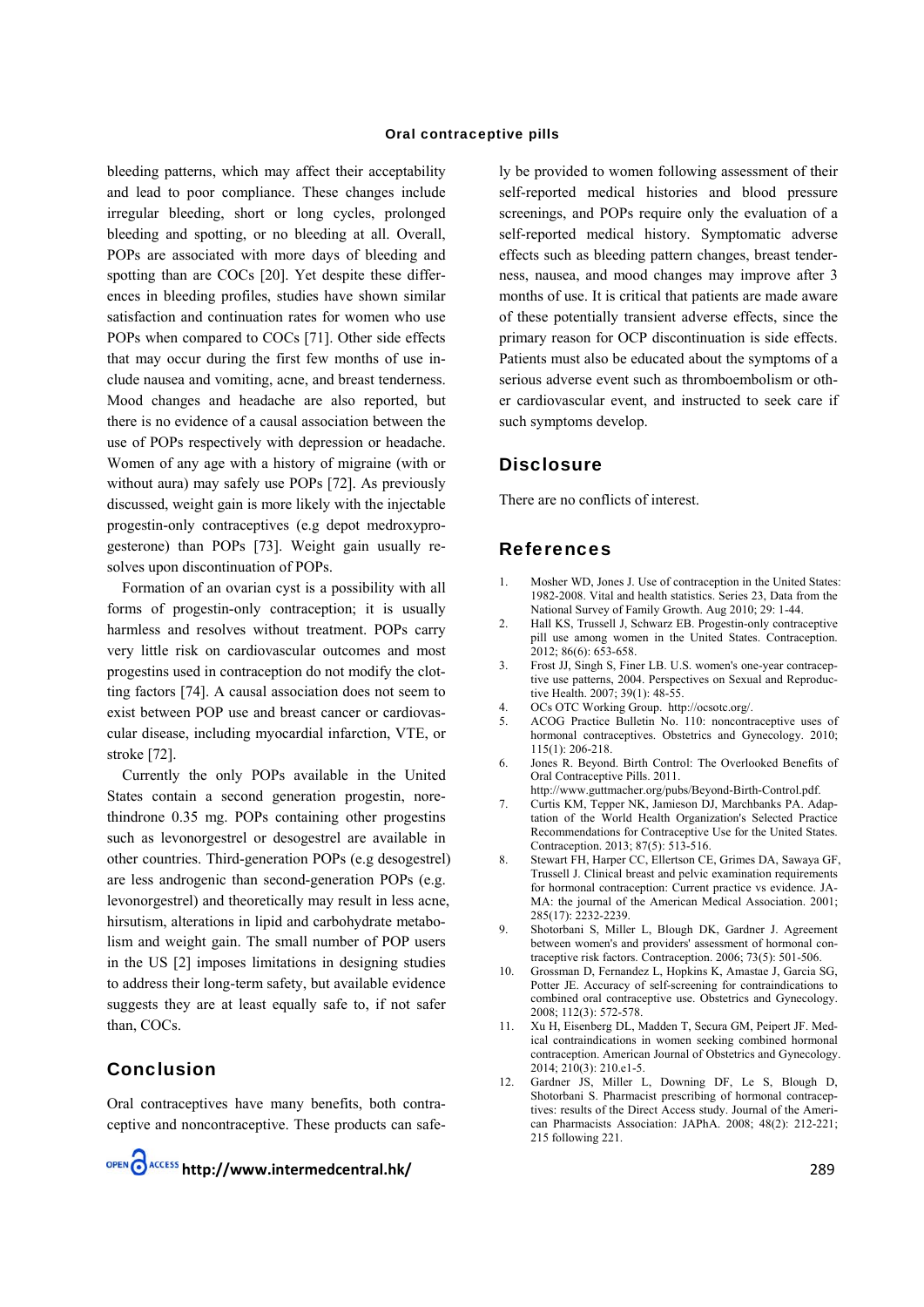#### Oral contraceptive pills

bleeding patterns, which may affect their acceptability and lead to poor compliance. These changes include irregular bleeding, short or long cycles, prolonged bleeding and spotting, or no bleeding at all. Overall, POPs are associated with more days of bleeding and spotting than are COCs [20]. Yet despite these differences in bleeding profiles, studies have shown similar satisfaction and continuation rates for women who use POPs when compared to COCs [71]. Other side effects that may occur during the first few months of use include nausea and vomiting, acne, and breast tenderness. Mood changes and headache are also reported, but there is no evidence of a causal association between the use of POPs respectively with depression or headache. Women of any age with a history of migraine (with or without aura) may safely use POPs [72]. As previously discussed, weight gain is more likely with the injectable progestin-only contraceptives (e.g depot medroxyprogesterone) than POPs [73]. Weight gain usually resolves upon discontinuation of POPs.

 Formation of an ovarian cyst is a possibility with all forms of progestin-only contraception; it is usually harmless and resolves without treatment. POPs carry very little risk on cardiovascular outcomes and most progestins used in contraception do not modify the clotting factors [74]. A causal association does not seem to exist between POP use and breast cancer or cardiovascular disease, including myocardial infarction, VTE, or stroke [72].

 Currently the only POPs available in the United States contain a second generation progestin, norethindrone 0.35 mg. POPs containing other progestins such as levonorgestrel or desogestrel are available in other countries. Third-generation POPs (e.g desogestrel) are less androgenic than second-generation POPs (e.g. levonorgestrel) and theoretically may result in less acne, hirsutism, alterations in lipid and carbohydrate metabolism and weight gain. The small number of POP users in the US [2] imposes limitations in designing studies to address their long-term safety, but available evidence suggests they are at least equally safe to, if not safer than, COCs.

### Conclusion

Oral contraceptives have many benefits, both contraceptive and noncontraceptive. These products can safe-

**OPEN** CACCESS http://www.intermedcentral.hk/

ly be provided to women following assessment of their self-reported medical histories and blood pressure screenings, and POPs require only the evaluation of a self-reported medical history. Symptomatic adverse effects such as bleeding pattern changes, breast tenderness, nausea, and mood changes may improve after 3 months of use. It is critical that patients are made aware of these potentially transient adverse effects, since the primary reason for OCP discontinuation is side effects. Patients must also be educated about the symptoms of a serious adverse event such as thromboembolism or other cardiovascular event, and instructed to seek care if such symptoms develop.

### Disclosure

There are no conflicts of interest.

#### References

- 1. Mosher WD, Jones J. Use of contraception in the United States: 1982-2008. Vital and health statistics. Series 23, Data from the National Survey of Family Growth. Aug 2010; 29: 1-44.
- 2. Hall KS, Trussell J, Schwarz EB. Progestin-only contraceptive pill use among women in the United States. Contraception. 2012; 86(6): 653-658.
- 3. Frost JJ, Singh S, Finer LB. U.S. women's one-year contraceptive use patterns, 2004. Perspectives on Sexual and Reproductive Health. 2007; 39(1): 48-55.
- 4. OCs OTC Working Group. http://ocsotc.org/.
- 5. ACOG Practice Bulletin No. 110: noncontraceptive uses of hormonal contraceptives. Obstetrics and Gynecology. 2010; 115(1): 206-218.
- 6. Jones R. Beyond. Birth Control: The Overlooked Benefits of Oral Contraceptive Pills. 2011.
	- http://www.guttmacher.org/pubs/Beyond-Birth-Control.pdf.
- 7. Curtis KM, Tepper NK, Jamieson DJ, Marchbanks PA. Adaptation of the World Health Organization's Selected Practice Recommendations for Contraceptive Use for the United States. Contraception. 2013; 87(5): 513-516.
- 8. Stewart FH, Harper CC, Ellertson CE, Grimes DA, Sawaya GF, Trussell J. Clinical breast and pelvic examination requirements for hormonal contraception: Current practice vs evidence. JA-MA: the journal of the American Medical Association. 2001; 285(17): 2232-2239.
- 9. Shotorbani S, Miller L, Blough DK, Gardner J. Agreement between women's and providers' assessment of hormonal contraceptive risk factors. Contraception. 2006; 73(5): 501-506.
- 10. Grossman D, Fernandez L, Hopkins K, Amastae J, Garcia SG, Potter JE. Accuracy of self-screening for contraindications to combined oral contraceptive use. Obstetrics and Gynecology. 2008; 112(3): 572-578.
- 11. Xu H, Eisenberg DL, Madden T, Secura GM, Peipert JF. Medical contraindications in women seeking combined hormonal contraception. American Journal of Obstetrics and Gynecology. 2014; 210(3): 210.e1-5.
- 12. Gardner JS, Miller L, Downing DF, Le S, Blough D, Shotorbani S. Pharmacist prescribing of hormonal contraceptives: results of the Direct Access study. Journal of the American Pharmacists Association: JAPhA. 2008; 48(2): 212-221; 215 following 221.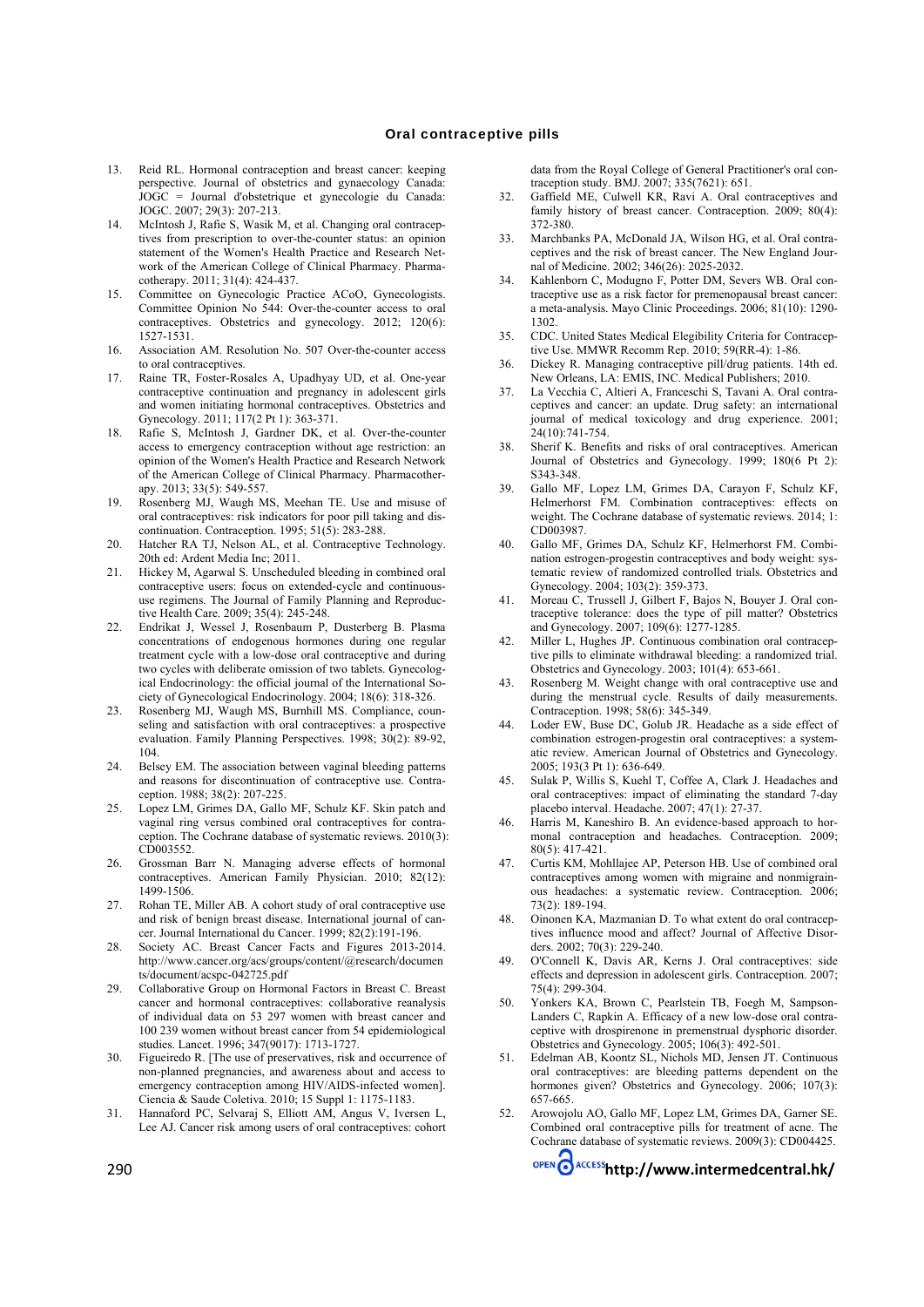- 13. Reid RL. Hormonal contraception and breast cancer: keeping perspective. Journal of obstetrics and gynaecology Canada: JOGC = Journal d'obstetrique et gynecologie du Canada: JOGC. 2007; 29(3): 207-213.
- 14. McIntosh J, Rafie S, Wasik M, et al. Changing oral contraceptives from prescription to over-the-counter status: an opinion statement of the Women's Health Practice and Research Network of the American College of Clinical Pharmacy. Pharmacotherapy. 2011; 31(4): 424-437.
- 15. Committee on Gynecologic Practice ACoO, Gynecologists. Committee Opinion No 544: Over-the-counter access to oral contraceptives. Obstetrics and gynecology. 2012; 120(6): 1527-1531.
- 16. Association AM. Resolution No. 507 Over-the-counter access to oral contraceptives.
- 17. Raine TR, Foster-Rosales A, Upadhyay UD, et al. One-year contraceptive continuation and pregnancy in adolescent girls and women initiating hormonal contraceptives. Obstetrics and Gynecology. 2011; 117(2 Pt 1): 363-371.
- 18. Rafie S, McIntosh J, Gardner DK, et al. Over-the-counter access to emergency contraception without age restriction: an opinion of the Women's Health Practice and Research Network of the American College of Clinical Pharmacy. Pharmacotherapy. 2013; 33(5): 549-557.
- 19. Rosenberg MJ, Waugh MS, Meehan TE. Use and misuse of oral contraceptives: risk indicators for poor pill taking and discontinuation. Contraception. 1995; 51(5): 283-288.
- 20. Hatcher RA TJ, Nelson AL, et al. Contraceptive Technology. 20th ed: Ardent Media Inc; 2011.
- 21. Hickey M, Agarwal S. Unscheduled bleeding in combined oral contraceptive users: focus on extended-cycle and continuoususe regimens. The Journal of Family Planning and Reproductive Health Care. 2009; 35(4): 245-248.
- 22. Endrikat J, Wessel J, Rosenbaum P, Dusterberg B. Plasma concentrations of endogenous hormones during one regular treatment cycle with a low-dose oral contraceptive and during two cycles with deliberate omission of two tablets. Gynecological Endocrinology: the official journal of the International Society of Gynecological Endocrinology. 2004; 18(6): 318-326.
- 23. Rosenberg MJ, Waugh MS, Burnhill MS. Compliance, counseling and satisfaction with oral contraceptives: a prospective evaluation. Family Planning Perspectives. 1998; 30(2): 89-92, 104.
- 24. Belsey EM. The association between vaginal bleeding patterns and reasons for discontinuation of contraceptive use. Contraception. 1988; 38(2): 207-225.
- 25. Lopez LM, Grimes DA, Gallo MF, Schulz KF. Skin patch and vaginal ring versus combined oral contraceptives for contraception. The Cochrane database of systematic reviews. 2010(3): CD003552.
- 26. Grossman Barr N. Managing adverse effects of hormonal contraceptives. American Family Physician. 2010; 82(12): 1499-1506.
- 27. Rohan TE, Miller AB. A cohort study of oral contraceptive use and risk of benign breast disease. International journal of cancer. Journal International du Cancer. 1999; 82(2):191-196.
- 28. Society AC. Breast Cancer Facts and Figures 2013-2014. http://www.cancer.org/acs/groups/content/@research/documen ts/document/acspc-042725.pdf
- Collaborative Group on Hormonal Factors in Breast C. Breast cancer and hormonal contraceptives: collaborative reanalysis of individual data on 53 297 women with breast cancer and 100 239 women without breast cancer from 54 epidemiological studies. Lancet. 1996; 347(9017): 1713-1727.
- Figueiredo R. [The use of preservatives, risk and occurrence of non-planned pregnancies, and awareness about and access to emergency contraception among HIV/AIDS-infected women]. Ciencia & Saude Coletiva. 2010; 15 Suppl 1: 1175-1183.
- 31. Hannaford PC, Selvaraj S, Elliott AM, Angus V, Iversen L, Lee AJ. Cancer risk among users of oral contraceptives: cohort

data from the Royal College of General Practitioner's oral contraception study. BMJ. 2007; 335(7621): 651.

- 32. Gaffield ME, Culwell KR, Ravi A. Oral contraceptives and family history of breast cancer. Contraception. 2009; 80(4): 372-380.
- 33. Marchbanks PA, McDonald JA, Wilson HG, et al. Oral contraceptives and the risk of breast cancer. The New England Journal of Medicine. 2002; 346(26): 2025-2032.
- 34. Kahlenborn C, Modugno F, Potter DM, Severs WB. Oral contraceptive use as a risk factor for premenopausal breast cancer: a meta-analysis. Mayo Clinic Proceedings. 2006; 81(10): 1290- 1302.
- 35. CDC. United States Medical Elegibility Criteria for Contraceptive Use. MMWR Recomm Rep. 2010; 59(RR-4): 1-86.
- 36. Dickey R. Managing contraceptive pill/drug patients. 14th ed. New Orleans, LA: EMIS, INC. Medical Publishers; 2010.
- 37. La Vecchia C, Altieri A, Franceschi S, Tavani A. Oral contraceptives and cancer: an update. Drug safety: an international journal of medical toxicology and drug experience. 2001; 24(10):741-754.
- 38. Sherif K. Benefits and risks of oral contraceptives. American Journal of Obstetrics and Gynecology. 1999; 180(6 Pt 2): S343-348.
- 39. Gallo MF, Lopez LM, Grimes DA, Carayon F, Schulz KF, Helmerhorst FM. Combination contraceptives: effects on weight. The Cochrane database of systematic reviews. 2014; 1: CD003987.
- 40. Gallo MF, Grimes DA, Schulz KF, Helmerhorst FM. Combination estrogen-progestin contraceptives and body weight: systematic review of randomized controlled trials. Obstetrics and Gynecology. 2004; 103(2): 359-373.
- 41. Moreau C, Trussell J, Gilbert F, Bajos N, Bouyer J. Oral contraceptive tolerance: does the type of pill matter? Obstetrics and Gynecology. 2007; 109(6): 1277-1285.
- 42. Miller L, Hughes JP. Continuous combination oral contraceptive pills to eliminate withdrawal bleeding: a randomized trial. Obstetrics and Gynecology. 2003; 101(4): 653-661.
- 43. Rosenberg M. Weight change with oral contraceptive use and during the menstrual cycle. Results of daily measurements. Contraception. 1998; 58(6): 345-349.
- 44. Loder EW, Buse DC, Golub JR. Headache as a side effect of combination estrogen-progestin oral contraceptives: a systematic review. American Journal of Obstetrics and Gynecology. 2005; 193(3 Pt 1): 636-649.
- 45. Sulak P, Willis S, Kuehl T, Coffee A, Clark J. Headaches and oral contraceptives: impact of eliminating the standard 7-day placebo interval. Headache. 2007; 47(1): 27-37.
- 46. Harris M, Kaneshiro B. An evidence-based approach to hormonal contraception and headaches. Contraception. 2009; 80(5): 417-421.
- 47. Curtis KM, Mohllajee AP, Peterson HB. Use of combined oral contraceptives among women with migraine and nonmigrainous headaches: a systematic review. Contraception. 2006; 73(2): 189-194.
- 48. Oinonen KA, Mazmanian D. To what extent do oral contraceptives influence mood and affect? Journal of Affective Disorders. 2002; 70(3): 229-240.
- 49. O'Connell K, Davis AR, Kerns J. Oral contraceptives: side effects and depression in adolescent girls. Contraception. 2007; 75(4): 299-304.
- 50. Yonkers KA, Brown C, Pearlstein TB, Foegh M, Sampson-Landers C, Rapkin A. Efficacy of a new low-dose oral contraceptive with drospirenone in premenstrual dysphoric disorder. Obstetrics and Gynecology. 2005; 106(3): 492-501.
- 51. Edelman AB, Koontz SL, Nichols MD, Jensen JT. Continuous oral contraceptives: are bleeding patterns dependent on the hormones given? Obstetrics and Gynecology. 2006; 107(3): 657-665.
- 52. Arowojolu AO, Gallo MF, Lopez LM, Grimes DA, Garner SE. Combined oral contraceptive pills for treatment of acne. The Cochrane database of systematic reviews. 2009(3): CD004425.

290 **access**http://www.intermedcentral.hk/